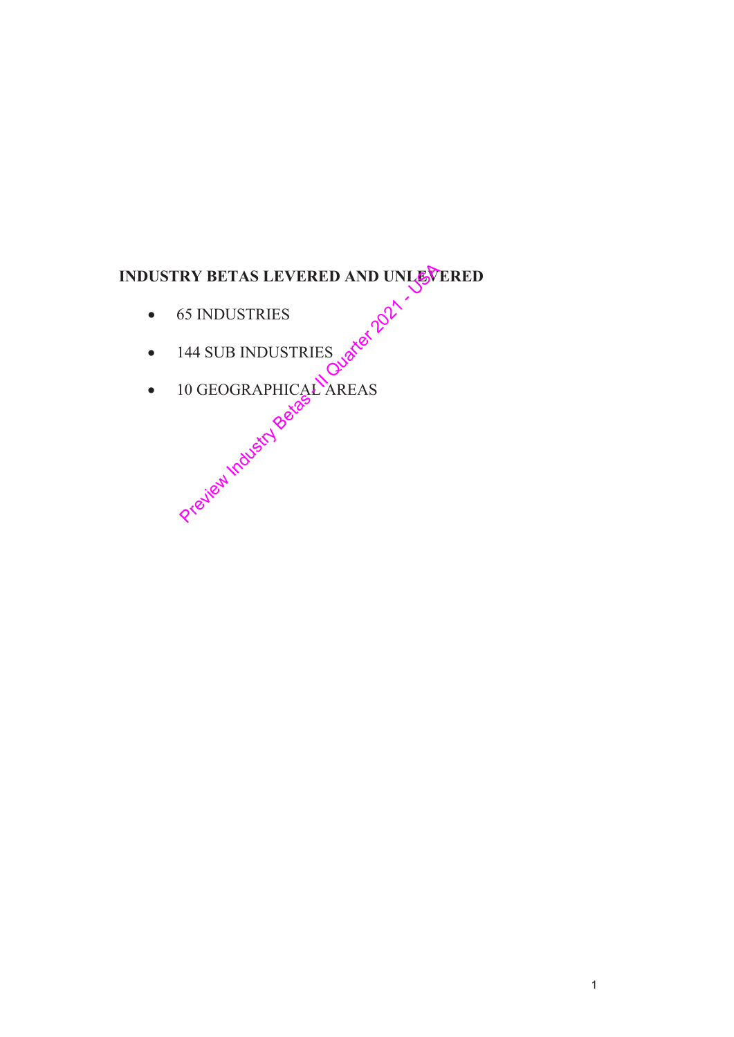# INDUSTRY BETAS LEVERED AND UNLEVERED

- 
- 
- 144 SUB INDUSTRIES and not • 10 GEOGRAPHICAL AREAS Preview Industry Betas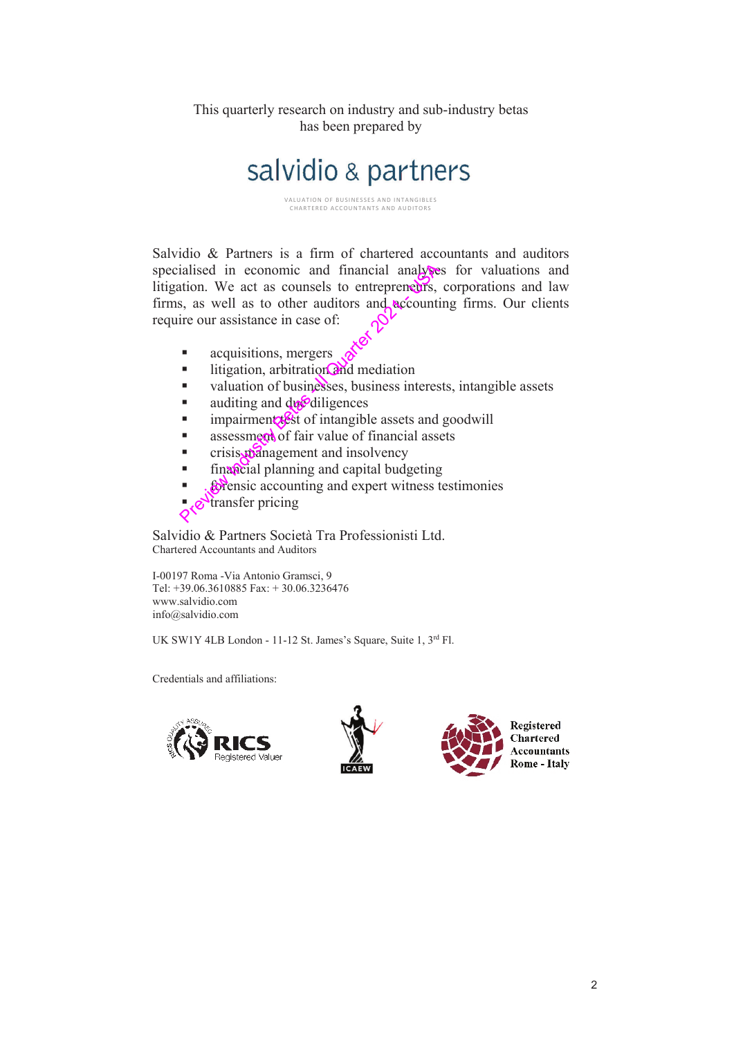This quarterly research on industry and sub-industry betas has been prepared by

# salvidio & partners

VALUATION OF BUSINESSES AND INTANGIBLES<br>CHARTERED ACCOUNTANTS AND AUDITORS

Salvidio & Partners is a firm of chartered accountants and auditors specialised in economic and financial analyses for valuations and litigation. We act as counsels to entrepreneurs, corporations and law firms, as well as to other auditors and accounting firms. Our clients require our assistance in case of:

- acquisitions, mergers
- $\blacksquare$ litigation, arbitration and mediation
- valuation of businesses, business interests, intangible assets
- auditing and  $d\phi$ <sup>S</sup>diligences
- impairment: st of intangible assets and goodwill
- assessment of fair value of financial assets
- crisis management and insolvency
- financial planning and capital budgeting
- forensic accounting and expert witness testimonies
- transfer pricing  $\sqrt{2}$

Salvidio & Partners Società Tra Professionisti Ltd. Chartered Accountants and Auditors

I-00197 Roma - Via Antonio Gramsci, 9 Tel: +39.06.3610885 Fax: + 30.06.3236476 www.salvidio.com info@salvidio.com

UK SW1Y 4LB London - 11-12 St. James's Square, Suite 1, 3rd Fl.

Credentials and affiliations:





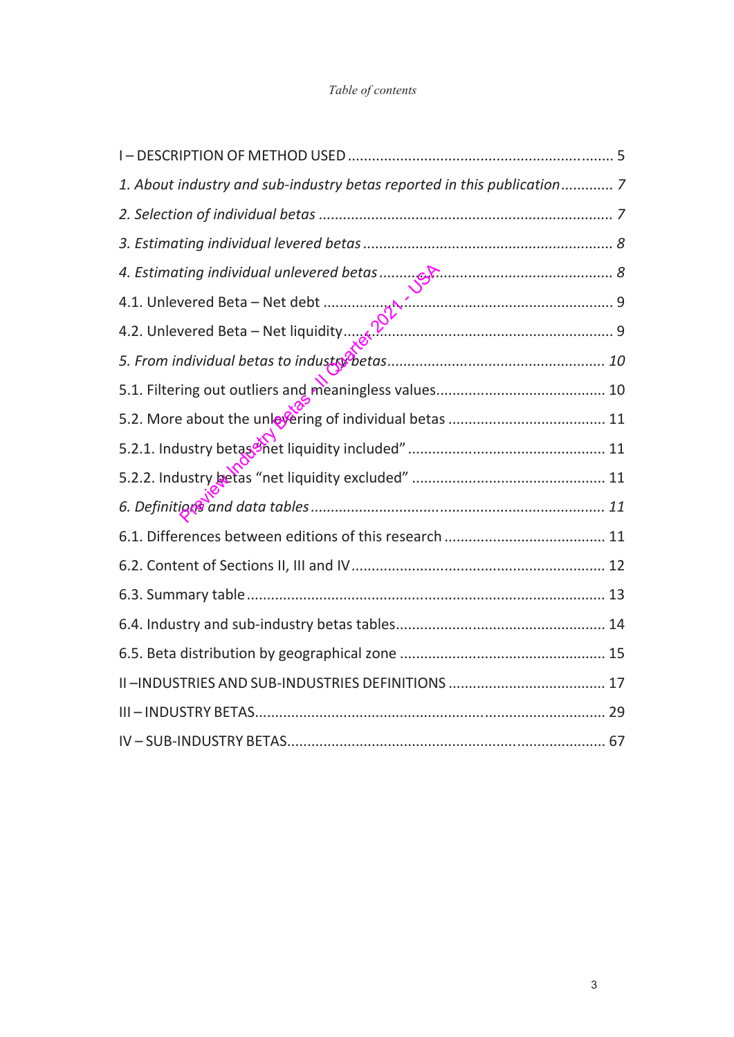### *Table of contents*

| 1. About industry and sub-industry betas reported in this publication 7 |
|-------------------------------------------------------------------------|
|                                                                         |
|                                                                         |
|                                                                         |
|                                                                         |
|                                                                         |
|                                                                         |
|                                                                         |
|                                                                         |
|                                                                         |
|                                                                         |
|                                                                         |
|                                                                         |
|                                                                         |
|                                                                         |
|                                                                         |
|                                                                         |
|                                                                         |
|                                                                         |
|                                                                         |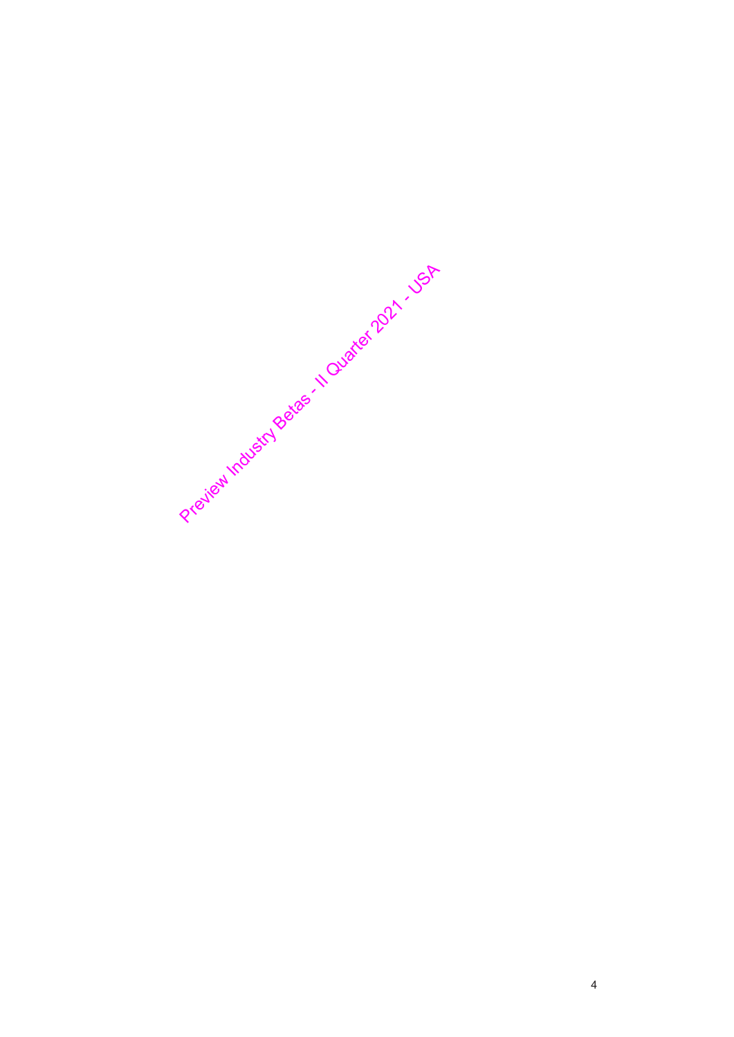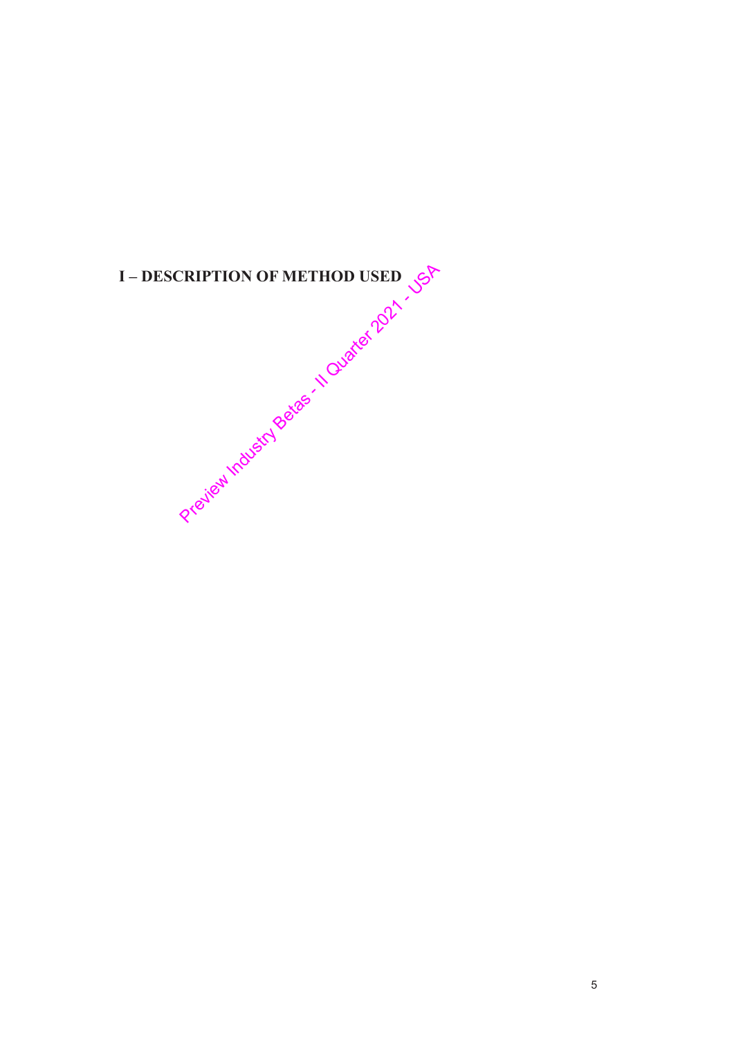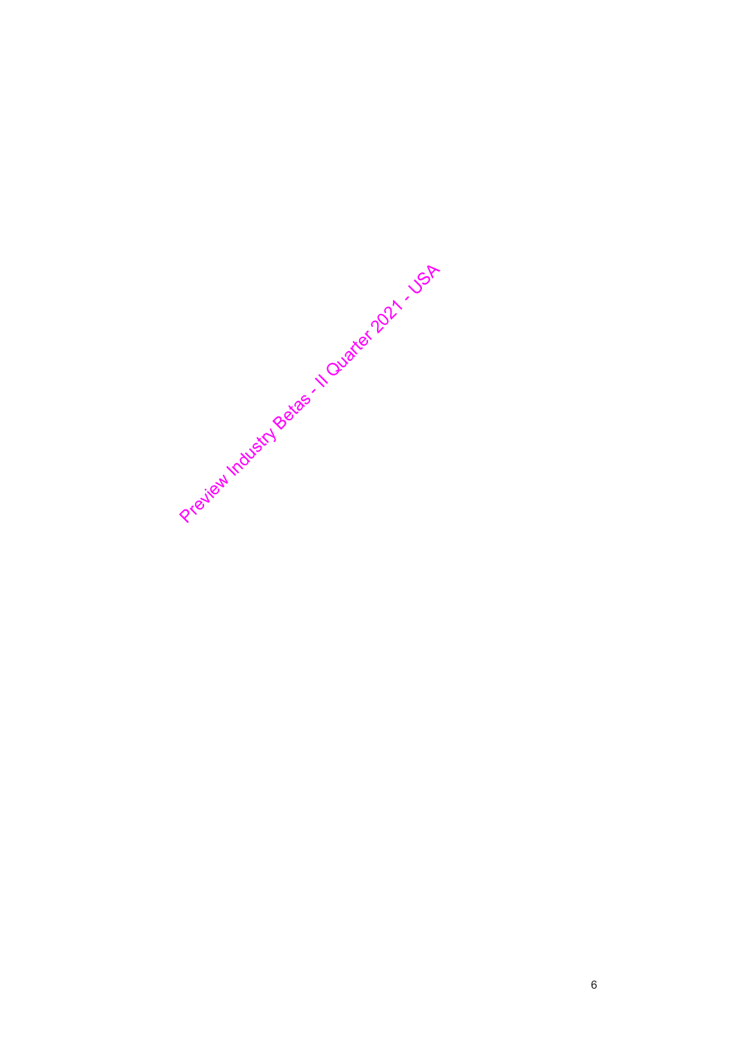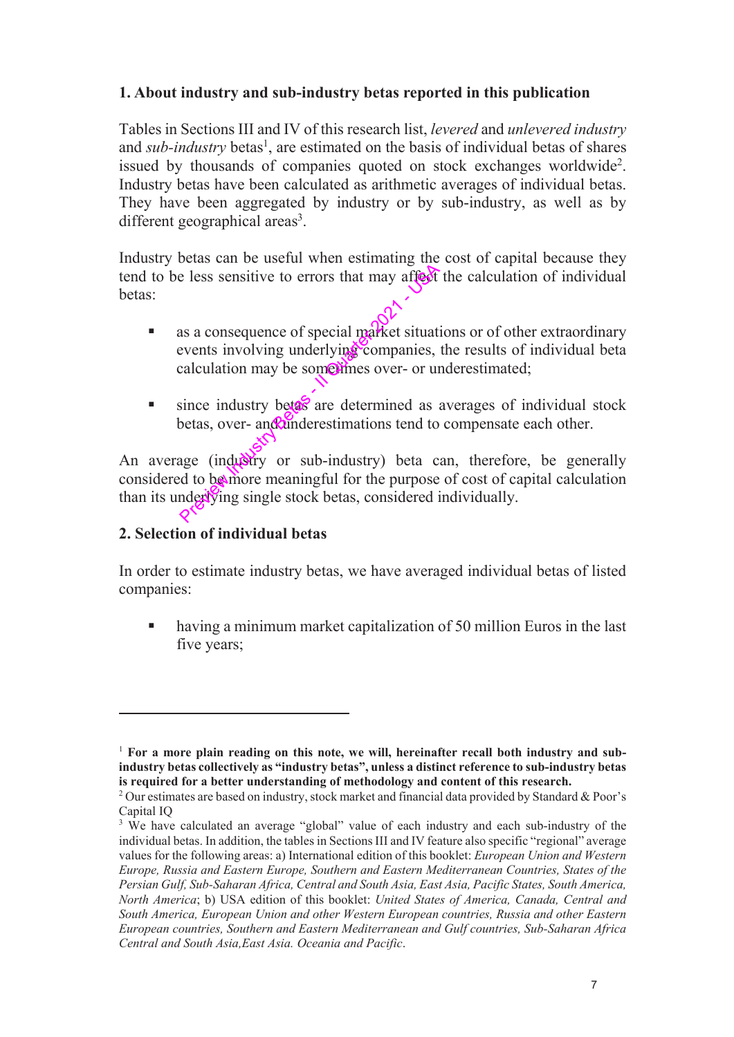### 1. About industry and sub-industry betas reported in this publication

Tables in Sections III and IV of this research list, *levered* and *unlevered industry* and *sub-industry* betas<sup>1</sup>, are estimated on the basis of individual betas of shares issued by thousands of companies quoted on stock exchanges worldwide<sup>2</sup>. Industry betas have been calculated as arithmetic averages of individual betas. They have been aggregated by industry or by sub-industry, as well as by different geographical areas<sup>3</sup>.

Industry betas can be useful when estimating the cost of capital because they tend to be less sensitive to errors that may affect the calculation of individual hetas:

- as a consequence of special market situations or of other extraordinary  $\blacksquare$ events involving underlying companies, the results of individual beta calculation may be sometimes over- or underestimated;
- since industry betas are determined as averages of individual stock betas, over- ancompleted imaginations tend to compensate each other.

An average (industry or sub-industry) beta can, therefore, be generally considered to be more meaningful for the purpose of cost of capital calculation than its underlying single stock betas, considered individually.

### 2. Selection of individual betas

In order to estimate industry betas, we have averaged individual betas of listed companies:

having a minimum market capitalization of 50 million Euros in the last five years;

 $\frac{1}{1}$  For a more plain reading on this note, we will, hereinafter recall both industry and subindustry betas collectively as "industry betas", unless a distinct reference to sub-industry betas is required for a better understanding of methodology and content of this research.

<sup>&</sup>lt;sup>2</sup> Our estimates are based on industry, stock market and financial data provided by Standard & Poor's Capital IQ

<sup>&</sup>lt;sup>3</sup> We have calculated an average "global" value of each industry and each sub-industry of the individual betas. In addition, the tables in Sections III and IV feature also specific "regional" average values for the following areas: a) International edition of this booklet: European Union and Western Europe, Russia and Eastern Europe, Southern and Eastern Mediterranean Countries, States of the Persian Gulf, Sub-Saharan Africa, Central and South Asia, East Asia, Pacific States, South America, North America; b) USA edition of this booklet: United States of America, Canada, Central and South America, European Union and other Western European countries, Russia and other Eastern European countries, Southern and Eastern Mediterranean and Gulf countries, Sub-Saharan Africa Central and South Asia, East Asia, Oceania and Pacific.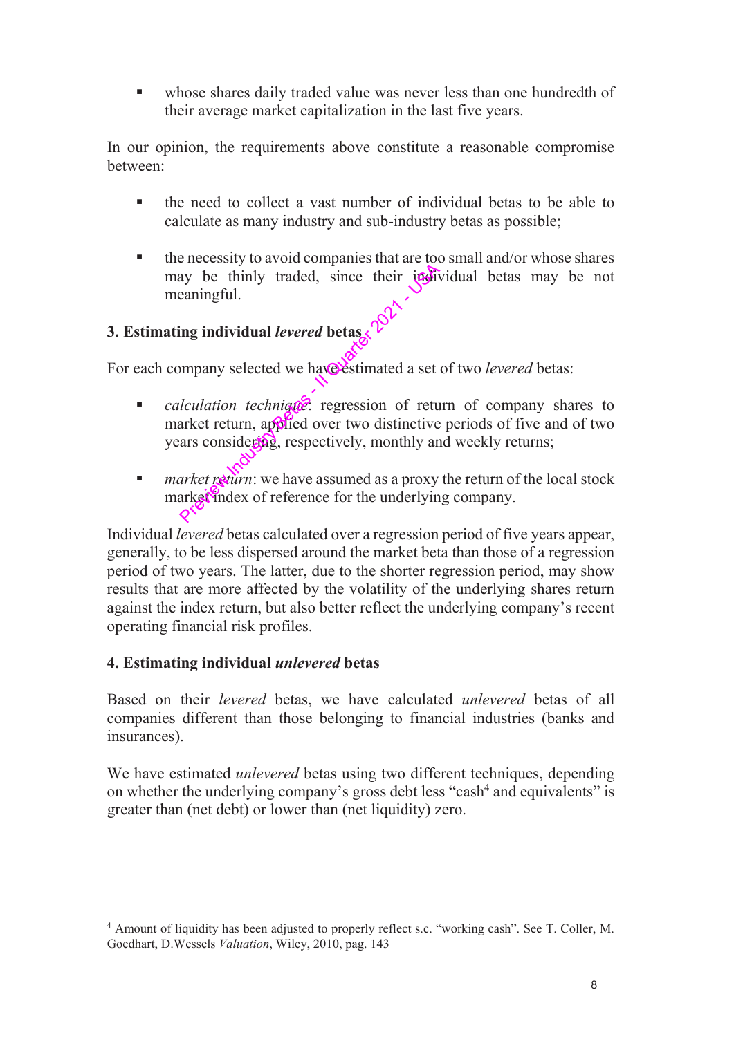**EXPARIES** Whose shares daily traded value was never less than one hundredth of their average market capitalization in the last five years.

In our opinion, the requirements above constitute a reasonable compromise hetween<sup>.</sup>

- $\blacksquare$  the need to collect a vast number of individual betas to be able to calculate as many industry and sub-industry betas as possible;
- $\blacksquare$  the necessity to avoid companies that are too small and/or whose shares may be thinly traded, since their  $\iota$   $\iota$   $\iota$  width betas may be not meaningful.

# **3. Estimating individual levered betas.**

For each company selected we have estimated a set of two *levered* betas:

- *calculation technique* regression of return of company shares to market return, applied over two distinctive periods of five and of two years considering, respectively, monthly and weekly returns: Previewly to all complaints and are their in the examingful.<br>
ing individual *levered* betas of the examingful.<br>
Something the example of the example of the examinated a set<br> *lculation technique*: regression of returns ar
- **F** *market return*: we have assumed as a proxy the return of the local stock market index of reference for the underlying company.

Individual *levered* betas calculated over a regression period of five years appear, generally, to be less dispersed around the market beta than those of a regression period of two years. The latter, due to the shorter regression period, may show results that are more affected by the volatility of the underlying shares return against the index return, but also better reflect the underlying company's recent operating financial risk profiles.

# **4. Estimating individual** *unlevered* **betas**

Based on their *levered* betas, we have calculated *unlevered* betas of all companies different than those belonging to financial industries (banks and insurances).

We have estimated *unlevered* betas using two different techniques, depending on whether the underlying company's gross debt less "cash<sup>4</sup> and equivalents" is greater than (net debt) or lower than (net liquidity) zero.

 $<sup>4</sup>$  Amount of liquidity has been adjusted to properly reflect s.c. "working cash". See T. Coller, M.</sup> Goedhart, D.Wessels *Valuation*, Wiley, 2010, pag. 143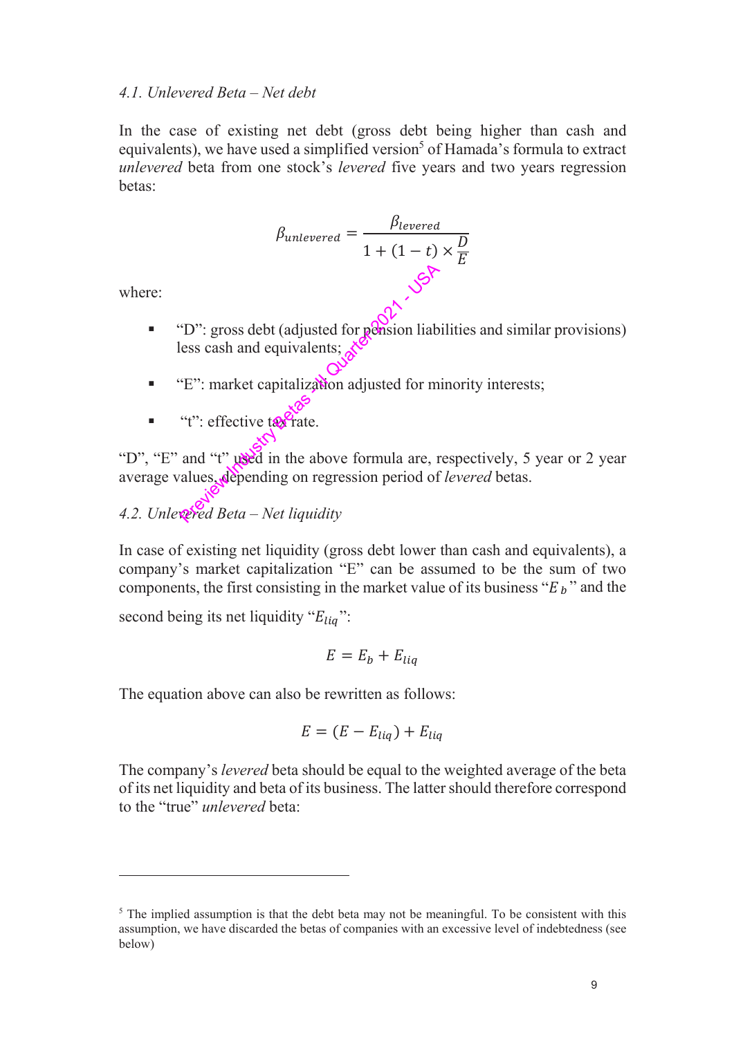#### *4.1. Unlevered Beta – Net debt*

In the case of existing net debt (gross debt being higher than cash and equivalents), we have used a simplified version<sup>5</sup> of Hamada's formula to extract *unlevered* beta from one stock's *levered* five years and two years regression hetas:

$$
\beta_{unlevered} = \frac{\beta_{levered}}{1 + (1 - t) \times \frac{D}{E}}
$$

where:

- "D": gross debt (adjusted for position liabilities and similar provisions) less cash and equivalents;  $\chi$ "D": gross debt (adjusted for pension liab<br>less cash and equivalents;  $\frac{1}{2}$ <br>"E": market capitalization adjusted for m<br>"t": effective to the fate.<br>and "t" used in the above formula are, ralues, depending on regression
- **E** "E": market capitalization adjusted for minority interests;
- $\blacksquare$  "t": effective tax rate.

"D", "E" and "t" used in the above formula are, respectively, 5 year or 2 year average values, depending on regression period of *levered* betas.

*4.2. Unlevered Beta – Net liquidity* 

In case of existing net liquidity (gross debt lower than cash and equivalents), a company's market capitalization "E" can be assumed to be the sum of two components, the first consisting in the market value of its business " $E<sub>b</sub>$ " and the

second being its net liquidity " $E_{liq}$ ":

$$
E = E_b + E_{liq}
$$

The equation above can also be rewritten as follows:

$$
E = (E - E_{liq}) + E_{liq}
$$

The company's *levered* beta should be equal to the weighted average of the beta of its net liquidity and beta of its business. The latter should therefore correspond to the "true" *unlevered* beta:

 $5$  The implied assumption is that the debt beta may not be meaningful. To be consistent with this assumption, we have discarded the betas of companies with an excessive level of indebtedness (see below)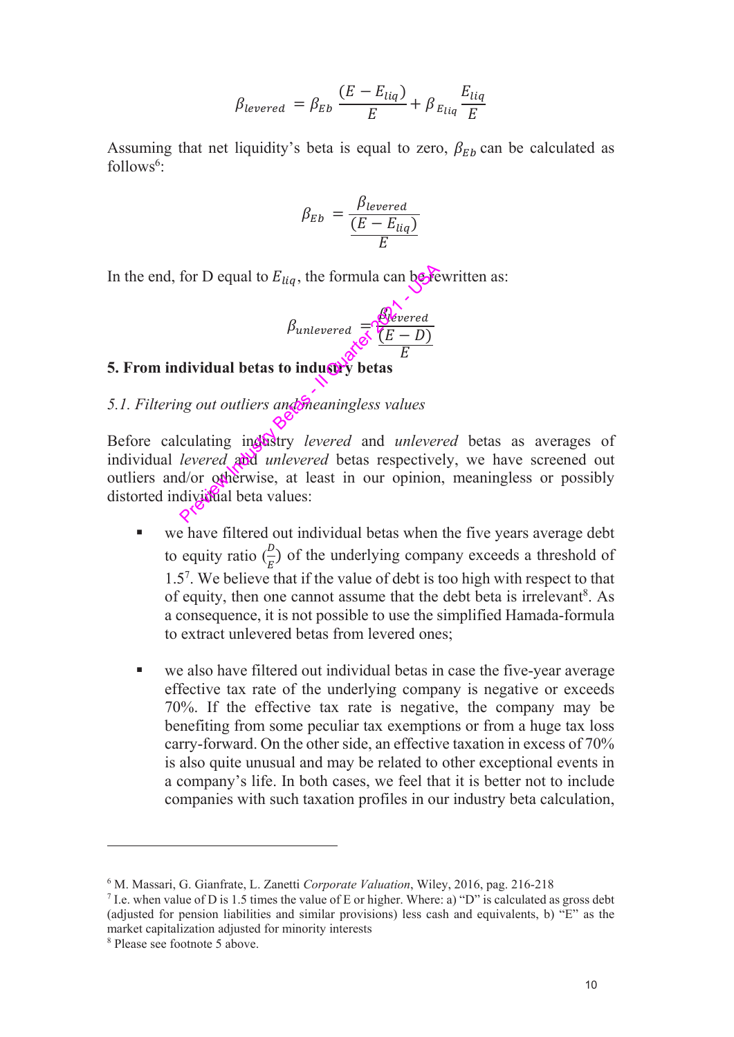$$
\beta_{levered} = \beta_{Eb} \frac{(E - E_{liq})}{E} + \beta_{E_{liq}} \frac{E_{liq}}{E}
$$

Assuming that net liquidity's beta is equal to zero,  $\beta_{Fb}$  can be calculated as  $follows<sup>6</sup>$ :

$$
\beta_{Eb} = \frac{\beta_{levered}}{\frac{(E - E_{liq})}{E}}
$$

In the end, for D equal to  $E_{liq}$ , the formula can be rewritten as:

$$
\beta_{unlevered} = \frac{\sqrt{\frac{R_{evered}}{E}}}{\sqrt{\frac{R}{E}}}
$$

#### **5. From individual betas to industry betas**

# *5.1. Filtering out outliers and meaningless values*

Before calculating industry *levered* and *unlevered* betas as averages of individual *levered* and *unlevered* betas respectively, we have screened out outliers and/or otherwise, at least in our opinion, meaningless or possibly distorted individual beta values: for D equal to  $E_{liq}$ , the formula can be reader of  $\frac{B|vered}{E}$ <br>dividual betas to industry betas  $mg$  out outliers and one aningless values culating industry levered and unlever levered and unlever levered and unlever d'

- **Here** we have filtered out individual betas when the five years average debt to equity ratio  $\left(\frac{D}{E}\right)$  of the underlying company exceeds a threshold of 1.5<sup>7</sup>. We believe that if the value of debt is too high with respect to that of equity, then one cannot assume that the debt beta is irrelevant<sup>8</sup>. As a consequence, it is not possible to use the simplified Hamada-formula to extract unlevered betas from levered ones:
- ve also have filtered out individual betas in case the five-year average effective tax rate of the underlying company is negative or exceeds 70%. If the effective tax rate is negative, the company may be benefiting from some peculiar tax exemptions or from a huge tax loss carry-forward. On the other side, an effective taxation in excess of  $70\%$ is also quite unusual and may be related to other exceptional events in a company's life. In both cases, we feel that it is better not to include companies with such taxation profiles in our industry beta calculation,

<sup>&</sup>lt;sup>6</sup> M. Massari, G. Gianfrate, L. Zanetti Corporate Valuation, Wiley, 2016, pag. 216-218

<sup>&</sup>lt;sup>7</sup> I.e. when value of D is 1.5 times the value of E or higher. Where: a) "D" is calculated as gross debt (adjusted for pension liabilities and similar provisions) less cash and equivalents, b) "E" as the market capitalization adjusted for minority interests

 $8$  Please see footnote 5 above.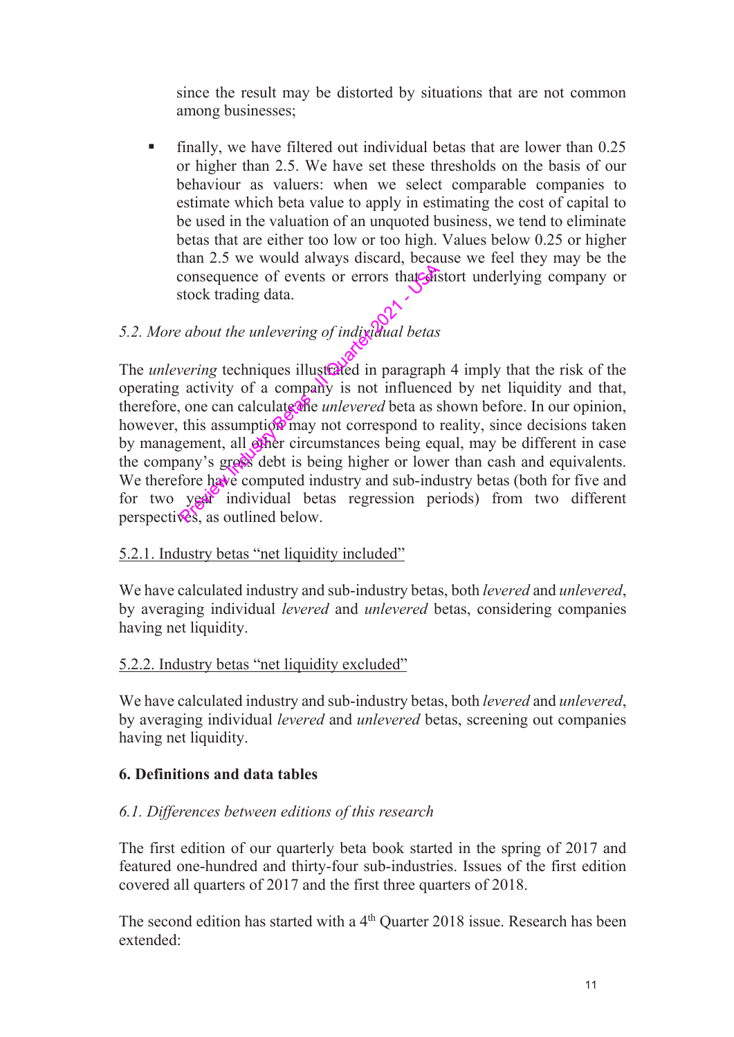since the result may be distorted by situations that are not common among businesses;

 $\blacksquare$  finally, we have filtered out individual betas that are lower than 0.25 or higher than 2.5. We have set these thresholds on the basis of our behaviour as valuers: when we select comparable companies to estimate which beta value to apply in estimating the cost of capital to be used in the valuation of an unquoted business, we tend to eliminate betas that are either too low or too high. Values below 0.25 or higher than 2.5 we would always discard, because we feel they may be the consequence of events or errors that constant underlying company or stock trading data.

# *5.2. More about the unlevering of individual betas*

The *unlevering* techniques illustrated in paragraph 4 imply that the risk of the operating activity of a company is not influenced by net liquidity and that, therefore, one can calculate the *unlevered* beta as shown before. In our opinion, however, this assumption may not correspond to reality, since decisions taken by management, all other circumstances being equal, may be different in case the company's gross debt is being higher or lower than cash and equivalents. We therefore have computed industry and sub-industry betas (both for five and for two year individual betas regression periods) from two different perspectives, as outlined below. Previous analysis and a consequence of events or errors that the stock trading data.<br>
Previous trading data.<br>
Previous illustry differed in paragraphy activity of a company is not influence, one can calculate the *unlevere* 

# 5.2.1. Industry betas "net liquidity included"

We have calculated industry and sub-industry betas, both *levered* and *unlevered*, by averaging individual *levered* and *unlevered* betas, considering companies having net liquidity.

# 5.2.2. Industry betas "net liquidity excluded"

We have calculated industry and sub-industry betas, both *levered* and *unlevered*, by averaging individual *levered* and *unlevered* betas, screening out companies having net liquidity.

# **6. Definitions and data tables**

# *6.1. Differences between editions of this research*

The first edition of our quarterly beta book started in the spring of 2017 and featured one-hundred and thirty-four sub-industries. Issues of the first edition covered all quarters of  $2017$  and the first three quarters of  $2018$ .

The second edition has started with a  $4<sup>th</sup>$  Quarter 2018 issue. Research has been extended: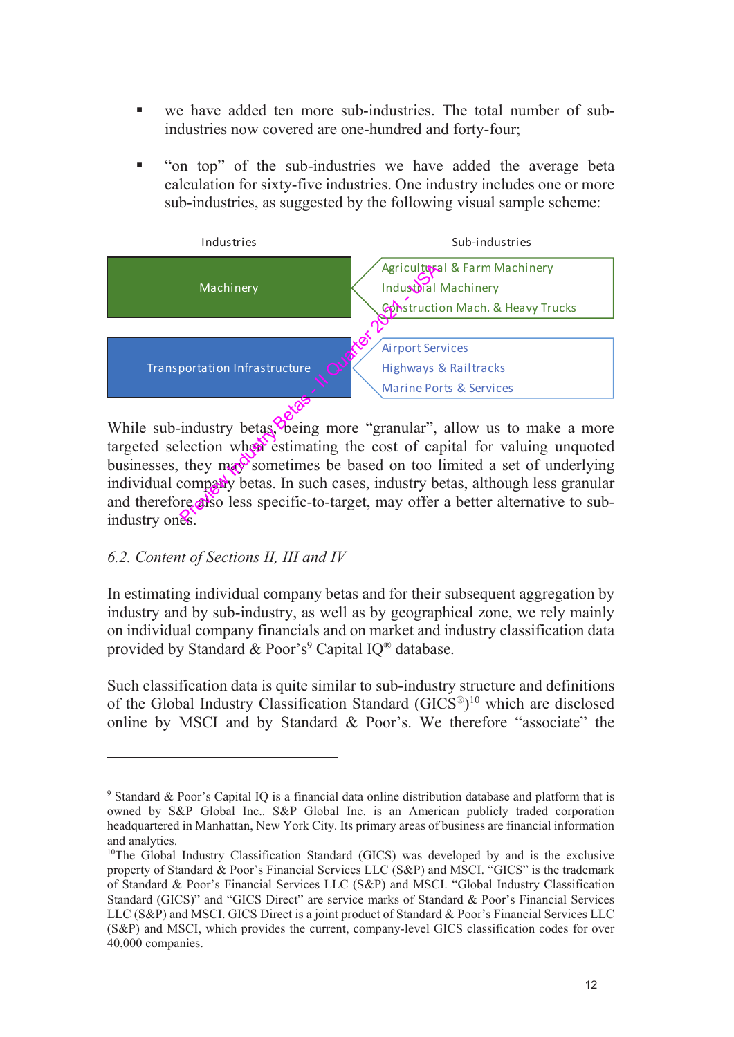- we have added ten more sub-industries. The total number of subindustries now covered are one-hundred and forty-four:
- "on top" of the sub-industries we have added the average beta calculation for sixty-five industries. One industry includes one or more sub-industries, as suggested by the following visual sample scheme:



While sub-industry betas, being more "granular", allow us to make a more targeted selection when estimating the cost of capital for valuing unquoted businesses, they may sometimes be based on too limited a set of underlying individual comparty betas. In such cases, industry betas, although less granular and therefore also less specific-to-target, may offer a better alternative to subindustry ones.

### *6.2. Content of Sections II, III and IV*

In estimating individual company betas and for their subsequent aggregation by industry and by sub-industry, as well as by geographical zone, we rely mainly on individual company financials and on market and industry classification data provided by Standard & Poor's<sup>9</sup> Capital IQ® database.

Such classification data is quite similar to sub-industry structure and definitions of the Global Industry Classification Standard (GICS®)<sup>10</sup> which are disclosed online by MSCI and by Standard  $\&$  Poor's. We therefore "associate" the

<sup>&</sup>lt;sup>9</sup> Standard & Poor's Capital IQ is a financial data online distribution database and platform that is owned by S&P Global Inc.. S&P Global Inc. is an American publicly traded corporation headquartered in Manhattan, New York City. Its primary areas of business are financial information and analytics.

<sup>&</sup>lt;sup>10</sup>The Global Industry Classification Standard (GICS) was developed by and is the exclusive property of Standard & Poor's Financial Services LLC  $(S\&P)$  and MSCI. "GICS" is the trademark of Standard & Poor's Financial Services LLC (S&P) and MSCI. "Global Industry Classification Standard (GICS)" and "GICS Direct" are service marks of Standard & Poor's Financial Services LLC (S&P) and MSCI. GICS Direct is a joint product of Standard & Poor's Financial Services LLC (S&P) and MSCI, which provides the current, company-level GICS classification codes for over 40,000 companies.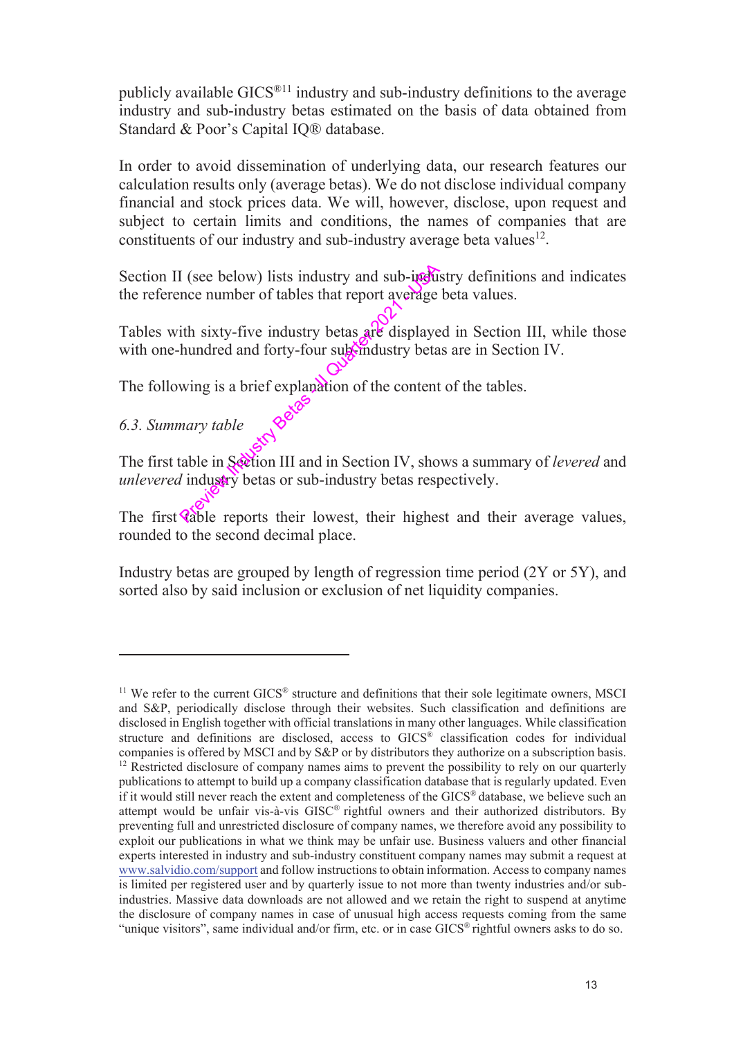publicly available GICS<sup>®11</sup> industry and sub-industry definitions to the average industry and sub-industry betas estimated on the basis of data obtained from Standard & Poor's Capital IQ® database.

In order to avoid dissemination of underlying data, our research features our calculation results only (average betas). We do not disclose individual company financial and stock prices data. We will, however, disclose, upon request and subject to certain limits and conditions, the names of companies that are constituents of our industry and sub-industry average beta values<sup>12</sup>.

Section II (see below) lists industry and sub-industry definitions and indicates the reference number of tables that report average beta values.

Tables with sixty-five industry betas are displayed in Section III, while those with one-hundred and forty-four subcindustry betas are in Section IV.

The following is a brief explanation of the content of the tables.

6.3. Summary table  $\sqrt{8}$ <sup> $\&$ </sup>

The first table in Section III and in Section IV, shows a summary of *levered* and unlevered industry betas or sub-industry betas respectively.

The first **Gable** reports their lowest, their highest and their average values, rounded to the second decimal place.

Industry betas are grouped by length of regression time period (2Y or 5Y), and sorted also by said inclusion or exclusion of net liquidity companies.

 $11$  We refer to the current GICS® structure and definitions that their sole legitimate owners, MSCI and S&P, periodically disclose through their websites. Such classification and definitions are disclosed in English together with official translations in many other languages. While classification structure and definitions are disclosed, access to GICS® classification codes for individual companies is offered by MSCI and by S&P or by distributors they authorize on a subscription basis.  $12$  Restricted disclosure of company names aims to prevent the possibility to rely on our quarterly publications to attempt to build up a company classification database that is regularly updated. Even if it would still never reach the extent and completeness of the GICS® database, we believe such an attempt would be unfair vis-à-vis GISC® rightful owners and their authorized distributors. By preventing full and unrestricted disclosure of company names, we therefore avoid any possibility to exploit our publications in what we think may be unfair use. Business valuers and other financial experts interested in industry and sub-industry constituent company names may submit a request at www.salvidio.com/support and follow instructions to obtain information. Access to company names is limited per registered user and by quarterly issue to not more than twenty industries and/or subindustries. Massive data downloads are not allowed and we retain the right to suspend at anytime the disclosure of company names in case of unusual high access requests coming from the same "unique visitors", same individual and/or firm, etc. or in case GICS® rightful owners asks to do so.